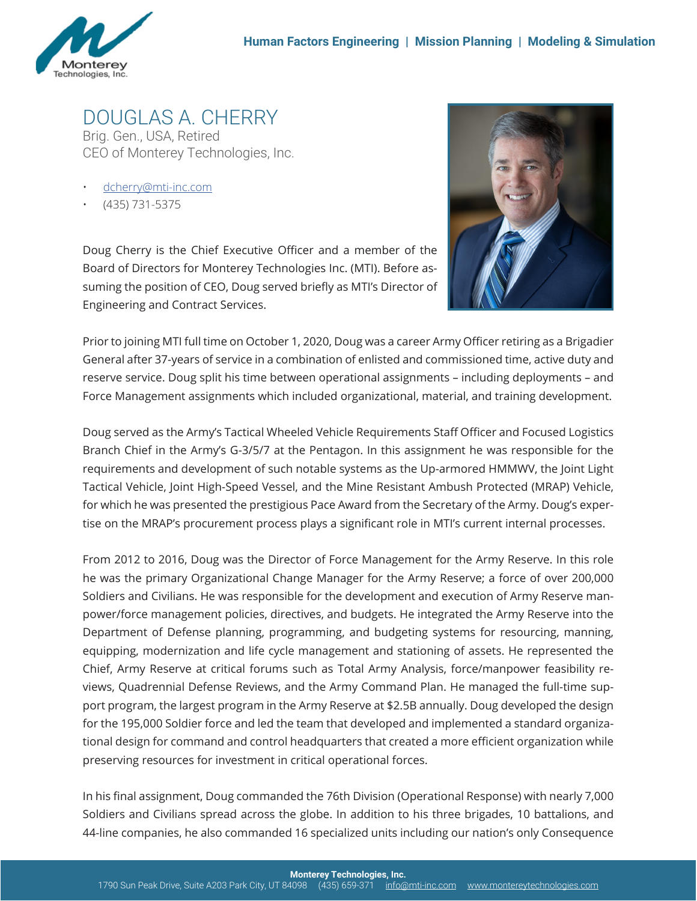

DOUGLAS A. CHERRY Brig. Gen., USA, Retired CEO of Monterey Technologies, Inc.

- dcherry@mti-inc.com
- (435) 731-5375

Doug Cherry is the Chief Executive Officer and a member of the Board of Directors for Monterey Technologies Inc. (MTI). Before assuming the position of CEO, Doug served briefly as MTI's Director of Engineering and Contract Services.



Prior to joining MTI full time on October 1, 2020, Doug was a career Army Officer retiring as a Brigadier General after 37-years of service in a combination of enlisted and commissioned time, active duty and reserve service. Doug split his time between operational assignments – including deployments – and Force Management assignments which included organizational, material, and training development.

Doug served as the Army's Tactical Wheeled Vehicle Requirements Staff Officer and Focused Logistics Branch Chief in the Army's G-3/5/7 at the Pentagon. In this assignment he was responsible for the requirements and development of such notable systems as the Up-armored HMMWV, the Joint Light Tactical Vehicle, Joint High-Speed Vessel, and the Mine Resistant Ambush Protected (MRAP) Vehicle, for which he was presented the prestigious Pace Award from the Secretary of the Army. Doug's expertise on the MRAP's procurement process plays a significant role in MTI's current internal processes.

From 2012 to 2016, Doug was the Director of Force Management for the Army Reserve. In this role he was the primary Organizational Change Manager for the Army Reserve; a force of over 200,000 Soldiers and Civilians. He was responsible for the development and execution of Army Reserve manpower/force management policies, directives, and budgets. He integrated the Army Reserve into the Department of Defense planning, programming, and budgeting systems for resourcing, manning, equipping, modernization and life cycle management and stationing of assets. He represented the Chief, Army Reserve at critical forums such as Total Army Analysis, force/manpower feasibility reviews, Quadrennial Defense Reviews, and the Army Command Plan. He managed the full-time support program, the largest program in the Army Reserve at \$2.5B annually. Doug developed the design for the 195,000 Soldier force and led the team that developed and implemented a standard organizational design for command and control headquarters that created a more efficient organization while preserving resources for investment in critical operational forces.

In his final assignment, Doug commanded the 76th Division (Operational Response) with nearly 7,000 Soldiers and Civilians spread across the globe. In addition to his three brigades, 10 battalions, and 44-line companies, he also commanded 16 specialized units including our nation's only Consequence